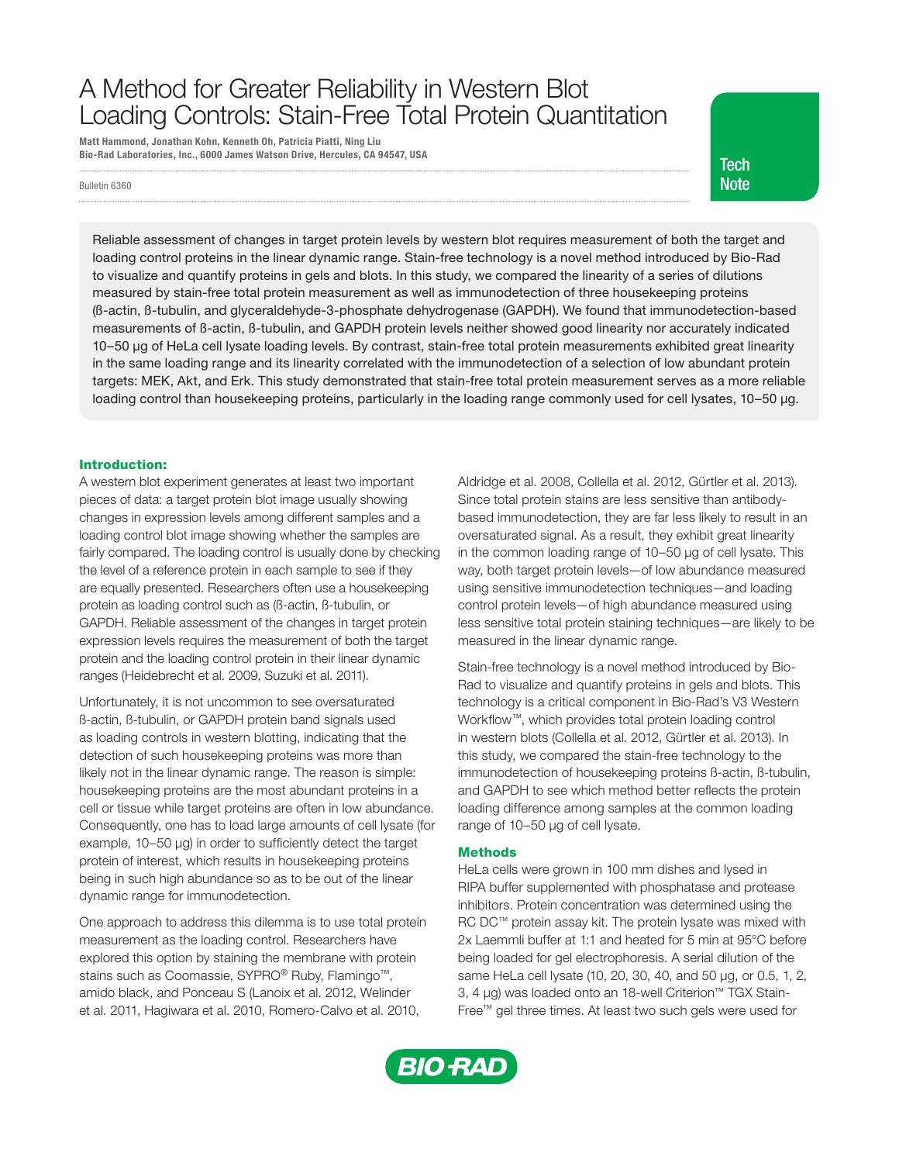# A Method for Greater Reliability in Western Blot Loading Controls: Stain-Free Total Protein Quantitation

Matt Hammond, Jonathan Kohn, Kenneth Oh, Patricia Piatti, Ning Liu Bio-Rad Laboratories, Inc., 6000 James Watson Drive, Hercules, CA 94547, USA

Bulletin 6360 **Note** 

**Tech** 

Reliable assessment of changes in target protein levels by western blot requires measurement of both the target and loading control proteins in the linear dynamic range. Stain-free technology is a novel method introduced by Bio-Rad to visualize and quantify proteins in gels and blots. In this study, we compared the linearity of a series of dilutions measured by stain-free total protein measurement as well as immunodetection of three housekeeping proteins (ß-actin, ß-tubulin, and glyceraldehyde-3-phosphate dehydrogenase (GAPDH). We found that immunodetection-based measurements of ß-actin, ß-tubulin, and GAPDH protein levels neither showed good linearity nor accurately indicated 10–50 µg of HeLa cell lysate loading levels. By contrast, stain-free total protein measurements exhibited great linearity in the same loading range and its linearity correlated with the immunodetection of a selection of low abundant protein targets: MEK, Akt, and Erk. This study demonstrated that stain-free total protein measurement serves as a more reliable loading control than housekeeping proteins, particularly in the loading range commonly used for cell lysates, 10–50 µg.

## Introduction:

A western blot experiment generates at least two important pieces of data: a target protein blot image usually showing changes in expression levels among different samples and a loading control blot image showing whether the samples are fairly compared. The loading control is usually done by checking the level of a reference protein in each sample to see if they are equally presented. Researchers often use a housekeeping protein as loading control such as (ß-actin, ß-tubulin, or GAPDH. Reliable assessment of the changes in target protein expression levels requires the measurement of both the target protein and the loading control protein in their linear dynamic ranges (Heidebrecht et al. 2009, Suzuki et al. 2011).

Unfortunately, it is not uncommon to see oversaturated ß-actin, ß-tubulin, or GAPDH protein band signals used as loading controls in western blotting, indicating that the detection of such housekeeping proteins was more than likely not in the linear dynamic range. The reason is simple: housekeeping proteins are the most abundant proteins in a cell or tissue while target proteins are often in low abundance. Consequently, one has to load large amounts of cell lysate (for example, 10–50 µg) in order to sufficiently detect the target protein of interest, which results in housekeeping proteins being in such high abundance so as to be out of the linear dynamic range for immunodetection.

One approach to address this dilemma is to use total protein measurement as the loading control. Researchers have explored this option by staining the membrane with protein stains such as Coomassie, SYPRO® Ruby, Flamingo™, amido black, and Ponceau S (Lanoix et al. 2012, Welinder et al. 2011, Hagiwara et al. 2010, Romero-Calvo et al. 2010,

Aldridge et al. 2008, Collella et al. 2012, Gürtler et al. 2013). Since total protein stains are less sensitive than antibodybased immunodetection, they are far less likely to result in an oversaturated signal. As a result, they exhibit great linearity in the common loading range of 10–50 µg of cell lysate. This way, both target protein levels—of low abundance measured using sensitive immunodetection techniques—and loading control protein levels—of high abundance measured using less sensitive total protein staining techniques—are likely to be measured in the linear dynamic range.

Stain-free technology is a novel method introduced by Bio-Rad to visualize and quantify proteins in gels and blots. This technology is a critical component in Bio-Rad's V3 Western Workflow™, which provides total protein loading control in western blots (Collella et al. 2012, Gürtler et al. 2013). In this study, we compared the stain-free technology to the immunodetection of housekeeping proteins ß-actin, ß-tubulin, and GAPDH to see which method better reflects the protein loading difference among samples at the common loading range of 10–50 µg of cell lysate.

## **Methods**

HeLa cells were grown in 100 mm dishes and lysed in RIPA buffer supplemented with phosphatase and protease inhibitors. Protein concentration was determined using the RC DC™ protein assay kit. The protein lysate was mixed with 2x Laemmli buffer at 1:1 and heated for 5 min at 95°C before being loaded for gel electrophoresis. A serial dilution of the same HeLa cell lysate (10, 20, 30, 40, and 50 µg, or 0.5, 1, 2, 3, 4 µg) was loaded onto an 18-well Criterion™ TGX Stain-Free™ gel three times. At least two such gels were used for

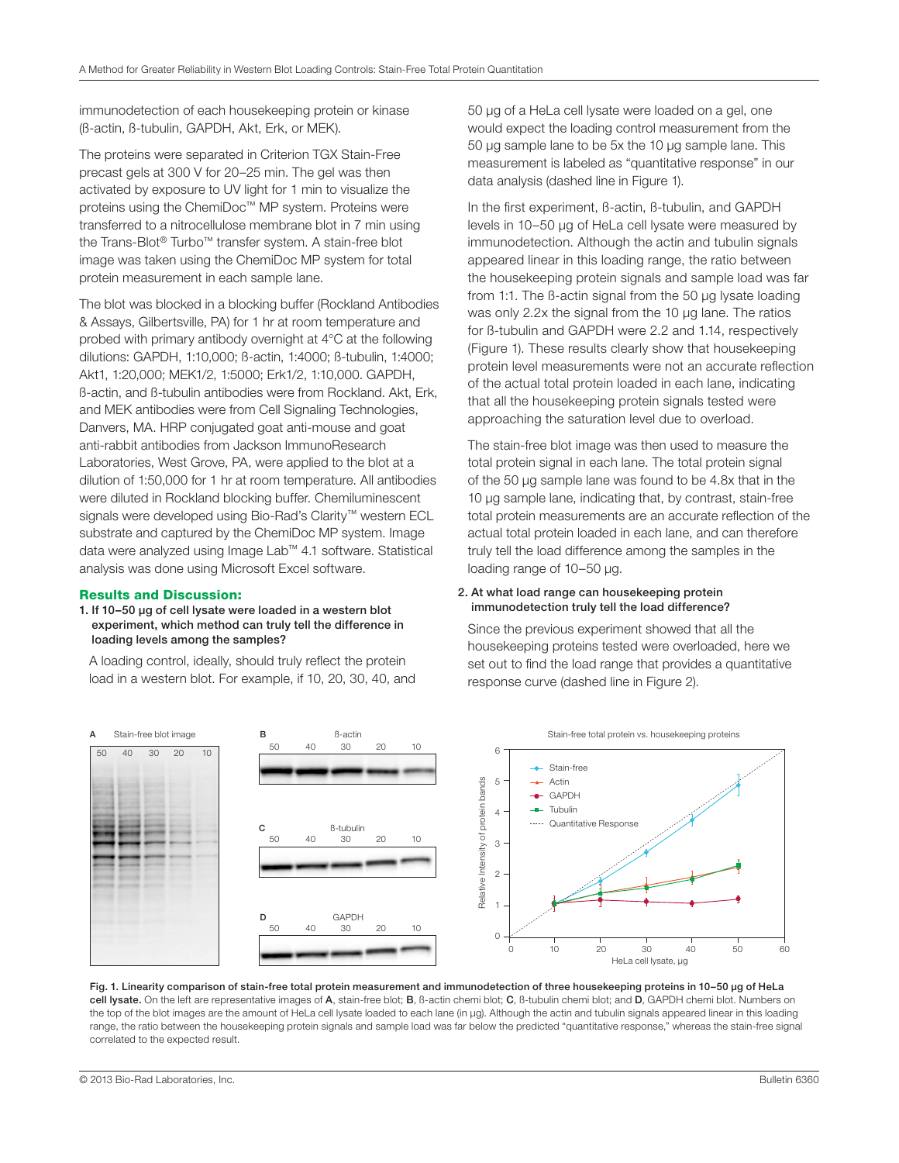immunodetection of each housekeeping protein or kinase (ß-actin, ß-tubulin, GAPDH, Akt, Erk, or MEK).

The proteins were separated in Criterion TGX Stain-Free precast gels at 300 V for 20–25 min. The gel was then activated by exposure to UV light for 1 min to visualize the proteins using the ChemiDoc™ MP system. Proteins were transferred to a nitrocellulose membrane blot in 7 min using the Trans-Blot® Turbo™ transfer system. A stain-free blot image was taken using the ChemiDoc MP system for total protein measurement in each sample lane.

The blot was blocked in a blocking buffer (Rockland Antibodies & Assays, Gilbertsville, PA) for 1 hr at room temperature and probed with primary antibody overnight at 4°C at the following dilutions: GAPDH, 1:10,000; ß-actin, 1:4000; ß-tubulin, 1:4000; Akt1, 1:20,000; MEK1/2, 1:5000; Erk1/2, 1:10,000. GAPDH, ß-actin, and ß-tubulin antibodies were from Rockland. Akt, Erk, and MEK antibodies were from Cell Signaling Technologies, Danvers, MA. HRP conjugated goat anti-mouse and goat anti-rabbit antibodies from Jackson ImmunoResearch Laboratories, West Grove, PA, were applied to the blot at a dilution of 1:50,000 for 1 hr at room temperature. All antibodies were diluted in Rockland blocking buffer. Chemiluminescent signals were developed using Bio-Rad's Clarity™ western ECL substrate and captured by the ChemiDoc MP system. Image data were analyzed using Image Lab™ 4.1 software. Statistical analysis was done using Microsoft Excel software.

#### Results and Discussion:

#### 1. If 10–50 µg of cell lysate were loaded in a western blot experiment, which method can truly tell the difference in loading levels among the samples?

 A loading control, ideally, should truly reflect the protein load in a western blot. For example, if 10, 20, 30, 40, and 50 µg of a HeLa cell lysate were loaded on a gel, one would expect the loading control measurement from the 50 µg sample lane to be 5x the 10 µg sample lane. This measurement is labeled as "quantitative response" in our data analysis (dashed line in Figure 1).

 In the first experiment, ß-actin, ß-tubulin, and GAPDH levels in 10–50 µg of HeLa cell lysate were measured by immunodetection. Although the actin and tubulin signals appeared linear in this loading range, the ratio between the housekeeping protein signals and sample load was far from 1:1. The ß-actin signal from the 50 µg lysate loading was only 2.2x the signal from the 10 µg lane. The ratios for ß-tubulin and GAPDH were 2.2 and 1.14, respectively (Figure 1). These results clearly show that housekeeping protein level measurements were not an accurate reflection of the actual total protein loaded in each lane, indicating that all the housekeeping protein signals tested were approaching the saturation level due to overload.

 The stain-free blot image was then used to measure the total protein signal in each lane. The total protein signal of the 50 µg sample lane was found to be 4.8x that in the 10 µg sample lane, indicating that, by contrast, stain-free total protein measurements are an accurate reflection of the actual total protein loaded in each lane, and can therefore truly tell the load difference among the samples in the loading range of 10–50 µg.

#### 2. At what load range can housekeeping protein immunodetection truly tell the load difference?

 Since the previous experiment showed that all the housekeeping proteins tested were overloaded, here we set out to find the load range that provides a quantitative response curve (dashed line in Figure 2).



Fig. 1. Linearity comparison of stain-free total protein measurement and immunodetection of three housekeeping proteins in 10–50 µg of HeLa cell lysate. On the left are representative images of A, stain-free blot; B, ß-actin chemi blot; C, ß-tubulin chemi blot; and D, GAPDH chemi blot. Numbers on the top of the blot images are the amount of HeLa cell lysate loaded to each lane (in µg). Although the actin and tubulin signals appeared linear in this loading range, the ratio between the housekeeping protein signals and sample load was far below the predicted "quantitative response," whereas the stain-free signal correlated to the expected result.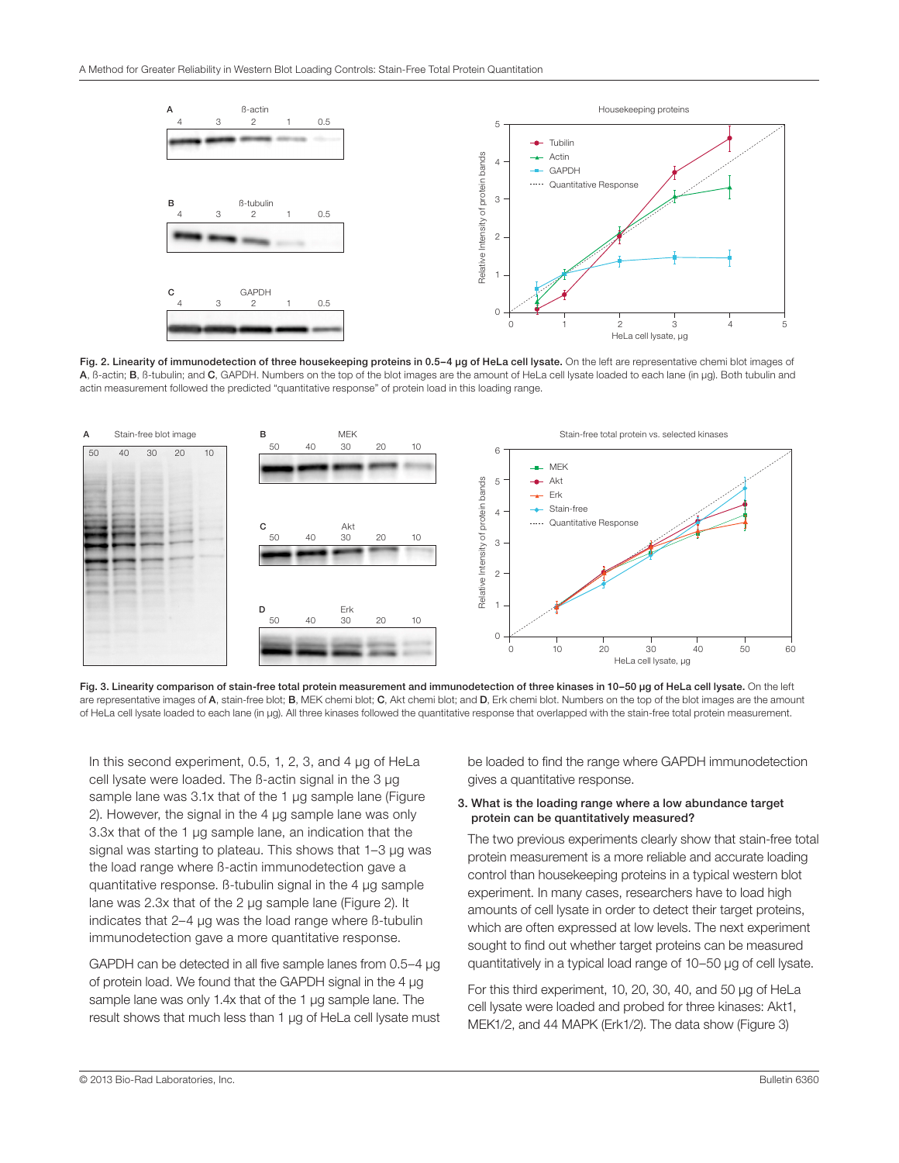

Fig. 2. Linearity of immunodetection of three housekeeping proteins in 0.5-4 µg of HeLa cell lysate. On the left are representative chemi blot images of A, B-actin; B, B-tubulin; and C, GAPDH. Numbers on the top of the blot images are the amount of HeLa cell lysate loaded to each lane (in µg). Both tubulin and actin measurement followed the predicted "quantitative response" of protein load in this loading range.



Fig. 3. Linearity comparison of stain-free total protein measurement and immunodetection of three kinases in 10-50 µg of HeLa cell lysate. On the left are representative images of A, stain-free blot; B, MEK chemi blot; C, Akt chemi blot; and D, Erk chemi blot. Numbers on the top of the blot images are the amount of HeLa cell lysate loaded to each lane (in µg). All three kinases followed the quantitative response that overlapped with the stain-free total protein measurement.

In this second experiment, 0.5, 1, 2, 3, and 4 µg of HeLa cell lysate were loaded. The ß-actin signal in the 3 µg sample lane was 3.1x that of the 1 µg sample lane (Figure 2). However, the signal in the 4 µg sample lane was only 3.3x that of the 1 µg sample lane, an indication that the signal was starting to plateau. This shows that 1–3 µg was the load range where ß-actin immunodetection gave a quantitative response. ß-tubulin signal in the 4 µg sample lane was 2.3x that of the 2 µg sample lane (Figure 2). It indicates that 2–4 µg was the load range where ß-tubulin immunodetection gave a more quantitative response.

 GAPDH can be detected in all five sample lanes from 0.5–4 µg of protein load. We found that the GAPDH signal in the 4 µg sample lane was only 1.4x that of the 1 µg sample lane. The result shows that much less than 1 µg of HeLa cell lysate must be loaded to find the range where GAPDH immunodetection gives a quantitative response.

## 3. What is the loading range where a low abundance target protein can be quantitatively measured?

 The two previous experiments clearly show that stain-free total protein measurement is a more reliable and accurate loading control than housekeeping proteins in a typical western blot experiment. In many cases, researchers have to load high amounts of cell lysate in order to detect their target proteins, which are often expressed at low levels. The next experiment sought to find out whether target proteins can be measured quantitatively in a typical load range of 10–50 µg of cell lysate.

 For this third experiment, 10, 20, 30, 40, and 50 µg of HeLa cell lysate were loaded and probed for three kinases: Akt1, MEK1/2, and 44 MAPK (Erk1/2). The data show (Figure 3)